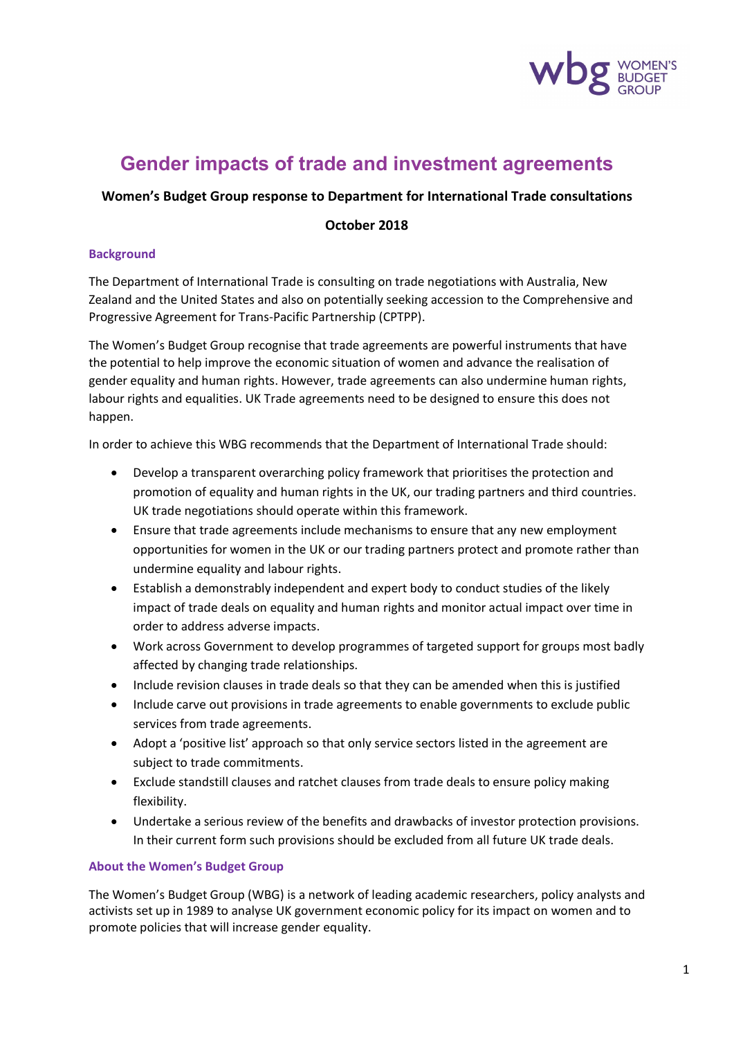

# **Gender impacts of trade and investment agreements**

#### **Women's Budget Group response to Department for International Trade consultations**

#### **October 2018**

#### **Background**

The Department of International Trade is consulting on trade negotiations with Australia, New Zealand and the United States and also on potentially seeking accession to the Comprehensive and Progressive Agreement for Trans-Pacific Partnership (CPTPP).

The Women's Budget Group recognise that trade agreements are powerful instruments that have the potential to help improve the economic situation of women and advance the realisation of gender equality and human rights. However, trade agreements can also undermine human rights, labour rights and equalities. UK Trade agreements need to be designed to ensure this does not happen.

In order to achieve this WBG recommends that the Department of International Trade should:

- Develop a transparent overarching policy framework that prioritises the protection and promotion of equality and human rights in the UK, our trading partners and third countries. UK trade negotiations should operate within this framework.
- Ensure that trade agreements include mechanisms to ensure that any new employment opportunities for women in the UK or our trading partners protect and promote rather than undermine equality and labour rights.
- Establish a demonstrably independent and expert body to conduct studies of the likely impact of trade deals on equality and human rights and monitor actual impact over time in order to address adverse impacts.
- Work across Government to develop programmes of targeted support for groups most badly affected by changing trade relationships.
- Include revision clauses in trade deals so that they can be amended when this is justified
- Include carve out provisions in trade agreements to enable governments to exclude public services from trade agreements.
- Adopt a 'positive list' approach so that only service sectors listed in the agreement are subject to trade commitments.
- Exclude standstill clauses and ratchet clauses from trade deals to ensure policy making flexibility.
- Undertake a serious review of the benefits and drawbacks of investor protection provisions. In their current form such provisions should be excluded from all future UK trade deals.

#### **About the Women's Budget Group**

The Women's Budget Group (WBG) is a network of leading academic researchers, policy analysts and activists set up in 1989 to analyse UK government economic policy for its impact on women and to promote policies that will increase gender equality.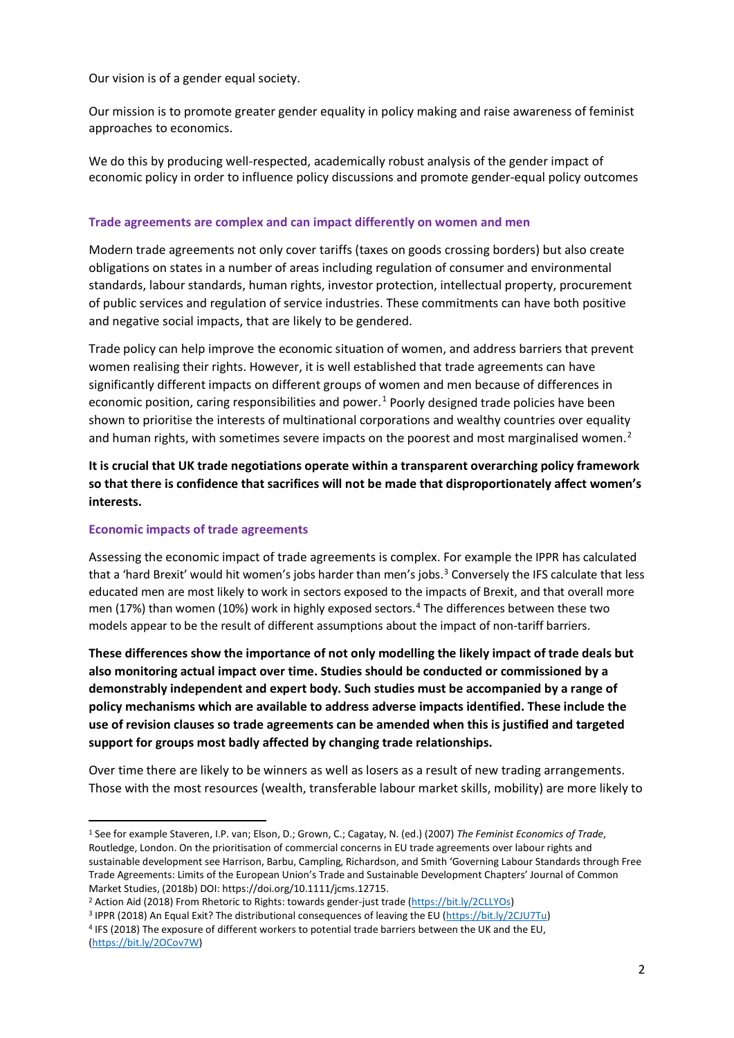Our vision is of a gender equal society.

Our mission is to promote greater gender equality in policy making and raise awareness of feminist approaches to economics.

We do this by producing well-respected, academically robust analysis of the gender impact of economic policy in order to influence policy discussions and promote gender-equal policy outcomes

## **Trade agreements are complex and can impact differently on women and men**

Modern trade agreements not only cover tariffs (taxes on goods crossing borders) but also create obligations on states in a number of areas including regulation of consumer and environmental standards, labour standards, human rights, investor protection, intellectual property, procurement of public services and regulation of service industries. These commitments can have both positive and negative social impacts, that are likely to be gendered.

Trade policy can help improve the economic situation of women, and address barriers that prevent women realising their rights. However, it is well established that trade agreements can have significantly different impacts on different groups of women and men because of differences in economic position, caring responsibilities and power.<sup>[1](#page-1-0)</sup> Poorly designed trade policies have been shown to prioritise the interests of multinational corporations and wealthy countries over equality and human rights, with sometimes severe impacts on the poorest and most marginalised women.<sup>[2](#page-1-1)</sup>

**It is crucial that UK trade negotiations operate within a transparent overarching policy framework so that there is confidence that sacrifices will not be made that disproportionately affect women's interests.**

## **Economic impacts of trade agreements**

Assessing the economic impact of trade agreements is complex. For example the IPPR has calculated that a 'hard Brexit' would hit women's jobs harder than men's jobs.<sup>[3](#page-1-2)</sup> Conversely the IFS calculate that less educated men are most likely to work in sectors exposed to the impacts of Brexit, and that overall more men (17%) than women (10%) work in highly exposed sectors.<sup>[4](#page-1-3)</sup> The differences between these two models appear to be the result of different assumptions about the impact of non-tariff barriers.

**These differences show the importance of not only modelling the likely impact of trade deals but also monitoring actual impact over time. Studies should be conducted or commissioned by a demonstrably independent and expert body. Such studies must be accompanied by a range of policy mechanisms which are available to address adverse impacts identified. These include the use of revision clauses so trade agreements can be amended when this is justified and targeted support for groups most badly affected by changing trade relationships.**

Over time there are likely to be winners as well as losers as a result of new trading arrangements. Those with the most resources (wealth, transferable labour market skills, mobility) are more likely to

<span id="page-1-0"></span> <sup>1</sup> See for example Staveren, I.P. van; Elson, D.; Grown, C.; Cagatay, N. (ed.) (2007) *The Feminist Economics of Trade*, Routledge, London. On the prioritisation of commercial concerns in EU trade agreements over labour rights and sustainable development see Harrison, Barbu, Campling, Richardson, and Smith 'Governing Labour Standards through Free Trade Agreements: Limits of the European Union's Trade and Sustainable Development Chapters' Journal of Common Market Studies, (2018b) DOI: https://doi.org/10.1111/jcms.12715.

<span id="page-1-3"></span><span id="page-1-2"></span><span id="page-1-1"></span>

<sup>&</sup>lt;sup>2</sup> Action Aid (2018) From Rhetoric to Rights: towards gender-just trade [\(https://bit.ly/2CLLYOs\)](https://bit.ly/2CLLYOs)<br><sup>3</sup> IPPR (2018) An Equal Exit? The distributional consequences of leaving the EU [\(https://bit.ly/2CJU7Tu\)](https://bit.ly/2CJU7Tu)<br><sup>4</sup> IFS (2018) The [\(https://bit.ly/2OCov7W\)](https://bit.ly/2OCov7W)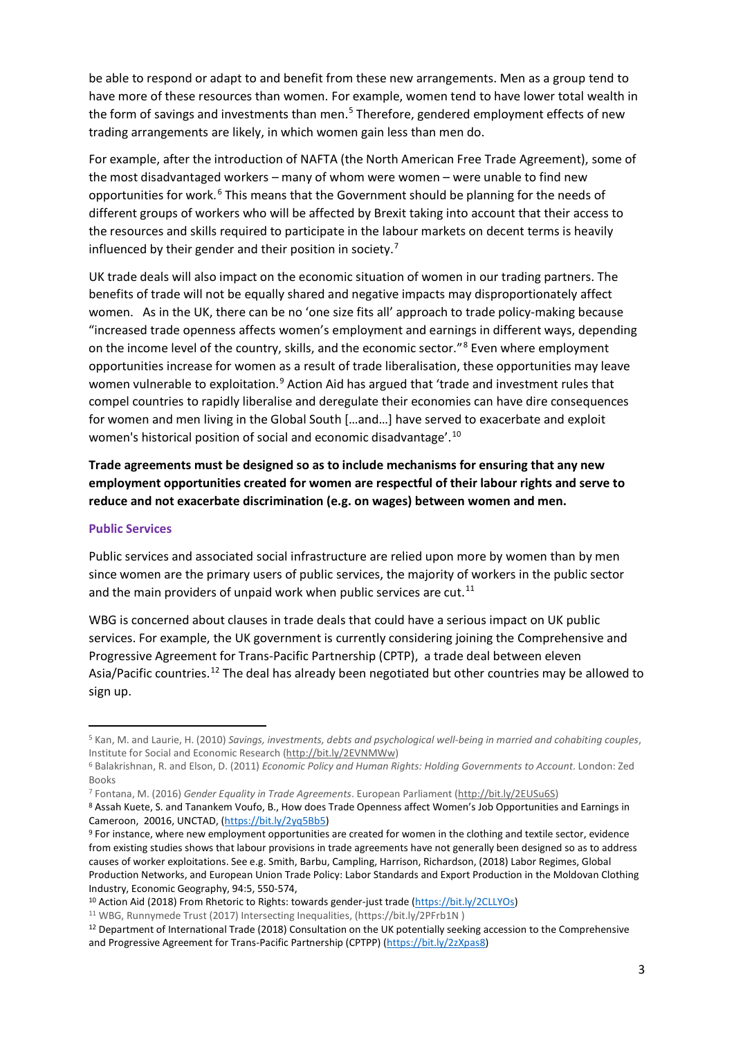be able to respond or adapt to and benefit from these new arrangements. Men as a group tend to have more of these resources than women. For example, women tend to have lower total wealth in the form of savings and investments than men.<sup>[5](#page-2-0)</sup> Therefore, gendered employment effects of new trading arrangements are likely, in which women gain less than men do.

For example, after the introduction of NAFTA (the North American Free Trade Agreement), some of the most disadvantaged workers – many of whom were women – were unable to find new opportunities for work.<sup>[6](#page-2-1)</sup> This means that the Government should be planning for the needs of different groups of workers who will be affected by Brexit taking into account that their access to the resources and skills required to participate in the labour markets on decent terms is heavily influenced by their gender and their position in society.[7](#page-2-2)

UK trade deals will also impact on the economic situation of women in our trading partners. The benefits of trade will not be equally shared and negative impacts may disproportionately affect women. As in the UK, there can be no 'one size fits all' approach to trade policy-making because "increased trade openness affects women's employment and earnings in different ways, depending on the income level of the country, skills, and the economic sector."[8](#page-2-3) Even where employment opportunities increase for women as a result of trade liberalisation, these opportunities may leave women vulnerable to exploitation.<sup>[9](#page-2-4)</sup> Action Aid has argued that 'trade and investment rules that compel countries to rapidly liberalise and deregulate their economies can have dire consequences for women and men living in the Global South […and…] have served to exacerbate and exploit women's historical position of social and economic disadvantage'.<sup>[10](#page-2-5)</sup>

**Trade agreements must be designed so as to include mechanisms for ensuring that any new employment opportunities created for women are respectful of their labour rights and serve to reduce and not exacerbate discrimination (e.g. on wages) between women and men.** 

#### **Public Services**

Public services and associated social infrastructure are relied upon more by women than by men since women are the primary users of public services, the majority of workers in the public sector and the main providers of unpaid work when public services are cut.<sup>[11](#page-2-6)</sup>

WBG is concerned about clauses in trade deals that could have a serious impact on UK public services. For example, the UK government is currently considering joining the Comprehensive and Progressive Agreement for Trans-Pacific Partnership (CPTP), a trade deal between eleven Asia/Pacific countries.<sup>[12](#page-2-7)</sup> The deal has already been negotiated but other countries may be allowed to sign up.

<span id="page-2-0"></span> <sup>5</sup> Kan, M. and Laurie, H. (2010) *Savings, investments, debts and psychological well-being in married and cohabiting couples*, Institute for Social and Economic Research [\(http://bit.ly/2EVNMWw\)](http://bit.ly/2EVNMWw)

<span id="page-2-1"></span><sup>6</sup> Balakrishnan, R. and Elson, D. (2011) *Economic Policy and Human Rights: Holding Governments to Account*. London: Zed Books

<span id="page-2-2"></span><sup>7</sup> Fontana, M. (2016) *Gender Equality in Trade Agreements*. European Parliament [\(http://bit.ly/2EUSu6S\)](http://bit.ly/2EUSu6S)

<span id="page-2-3"></span><sup>8</sup> Assah Kuete, S. and Tanankem Voufo, B., How does Trade Openness affect Women's Job Opportunities and Earnings in Cameroon, 20016, UNCTAD, [\(https://bit.ly/2yq5Bb5\)](https://bit.ly/2yq5Bb5)<br><sup>9</sup> For instance, where new employment opportunities are created for women in the clothing and textile sector, evidence

<span id="page-2-4"></span>from existing studies shows that labour provisions in trade agreements have not generally been designed so as to address causes of worker exploitations. See e.g. Smith, Barbu, Campling, Harrison, Richardson, (2018) Labor Regimes, Global Production Networks, and European Union Trade Policy: Labor Standards and Export Production in the Moldovan Clothing Industry, Economic Geography, 94:5, 550-574,

<span id="page-2-5"></span><sup>10</sup> Action Aid (2018) From Rhetoric to Rights: towards gender-just trade [\(https://bit.ly/2CLLYOs\)](https://bit.ly/2CLLYOs)

<span id="page-2-7"></span><span id="page-2-6"></span><sup>&</sup>lt;sup>11</sup> WBG, Runnymede Trust (2017) Intersecting Inequalities, (https://bit.ly/2PFrb1N)<br><sup>12</sup> Department of International Trade (2018) Consultation on the UK potentially seeking accession to the Comprehensive and Progressive Agreement for Trans-Pacific Partnership (CPTPP) [\(https://bit.ly/2zXpas8\)](https://bit.ly/2zXpas8)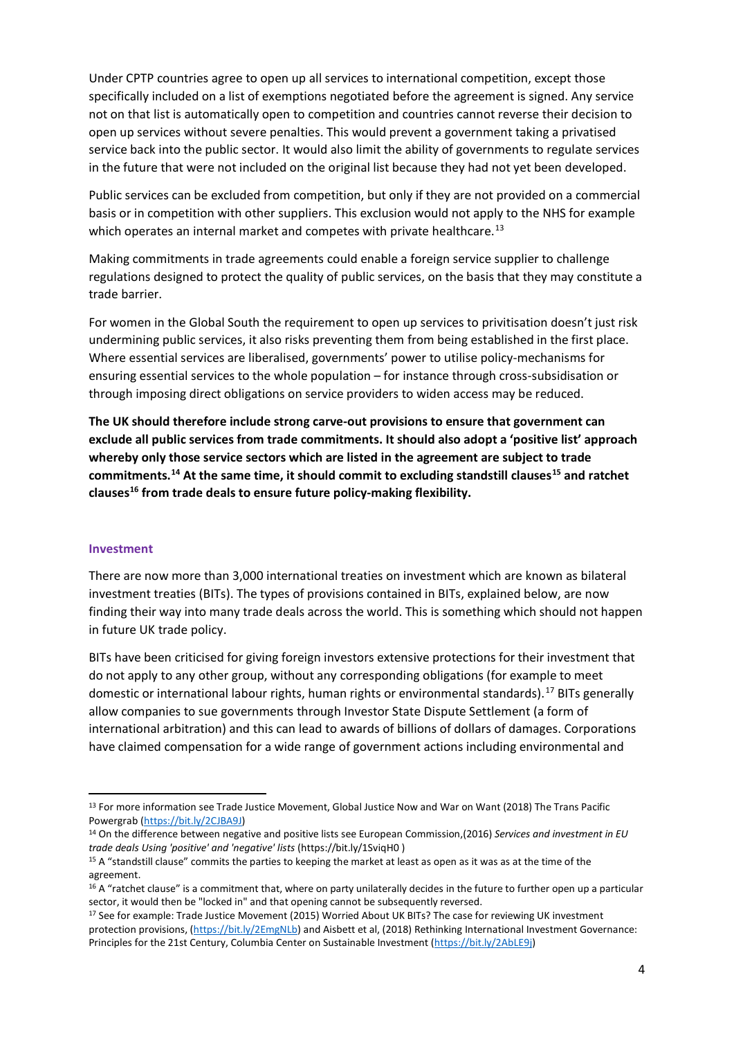Under CPTP countries agree to open up all services to international competition, except those specifically included on a list of exemptions negotiated before the agreement is signed. Any service not on that list is automatically open to competition and countries cannot reverse their decision to open up services without severe penalties. This would prevent a government taking a privatised service back into the public sector. It would also limit the ability of governments to regulate services in the future that were not included on the original list because they had not yet been developed.

Public services can be excluded from competition, but only if they are not provided on a commercial basis or in competition with other suppliers. This exclusion would not apply to the NHS for example which operates an internal market and competes with private healthcare.<sup>[13](#page-3-0)</sup>

Making commitments in trade agreements could enable a foreign service supplier to challenge regulations designed to protect the quality of public services, on the basis that they may constitute a trade barrier.

For women in the Global South the requirement to open up services to privitisation doesn't just risk undermining public services, it also risks preventing them from being established in the first place. Where essential services are liberalised, governments' power to utilise policy-mechanisms for ensuring essential services to the whole population – for instance through cross-subsidisation or through imposing direct obligations on service providers to widen access may be reduced.

**The UK should therefore include strong carve-out provisions to ensure that government can exclude all public services from trade commitments. It should also adopt a 'positive list' approach whereby only those service sectors which are listed in the agreement are subject to trade commitments.[14](#page-3-1) At the same time, it should commit to excluding standstill clauses[15](#page-3-2) and ratchet clause[s16](#page-3-3) from trade deals to ensure future policy-making flexibility.** 

#### **Investment**

There are now more than 3,000 international treaties on investment which are known as bilateral investment treaties (BITs). The types of provisions contained in BITs, explained below, are now finding their way into many trade deals across the world. This is something which should not happen in future UK trade policy.

BITs have been criticised for giving foreign investors extensive protections for their investment that do not apply to any other group, without any corresponding obligations (for example to meet domestic or international labour rights, human rights or environmental standards).<sup>[17](#page-3-4)</sup> BITs generally allow companies to sue governments through Investor State Dispute Settlement (a form of international arbitration) and this can lead to awards of billions of dollars of damages. Corporations have claimed compensation for a wide range of government actions including environmental and

<span id="page-3-0"></span><sup>&</sup>lt;sup>13</sup> For more information see Trade Justice Movement, Global Justice Now and War on Want (2018) The Trans Pacific Powergrab (https://bit.ly/2CJBA9J)<br><sup>14</sup> On the difference between negative and positive lists see European Commission,(2016) *Services and investment in EU* 

<span id="page-3-1"></span>*trade deals Using 'positive' and 'negative' lists* (https://bit.ly/1SviqH0)<br><sup>15</sup> A "standstill clause" commits the parties to keeping the market at least as open as it was as at the time of the

<span id="page-3-2"></span>agreement.

<span id="page-3-3"></span><sup>&</sup>lt;sup>16</sup> A "ratchet clause" is a commitment that, where on party unilaterally decides in the future to further open up a particular sector, it would then be "locked in" and that opening cannot be subsequently reversed.

<span id="page-3-4"></span><sup>17</sup> See for example: Trade Justice Movement (2015) Worried About UK BITs? The case for reviewing UK investment protection provisions, [\(https://bit.ly/2EmgNLb\)](https://bit.ly/2EmgNLb) and Aisbett et al, (2018) Rethinking International Investment Governance: Principles for the 21st Century, Columbia Center on Sustainable Investment [\(https://bit.ly/2AbLE9j\)](https://bit.ly/2AbLE9j)